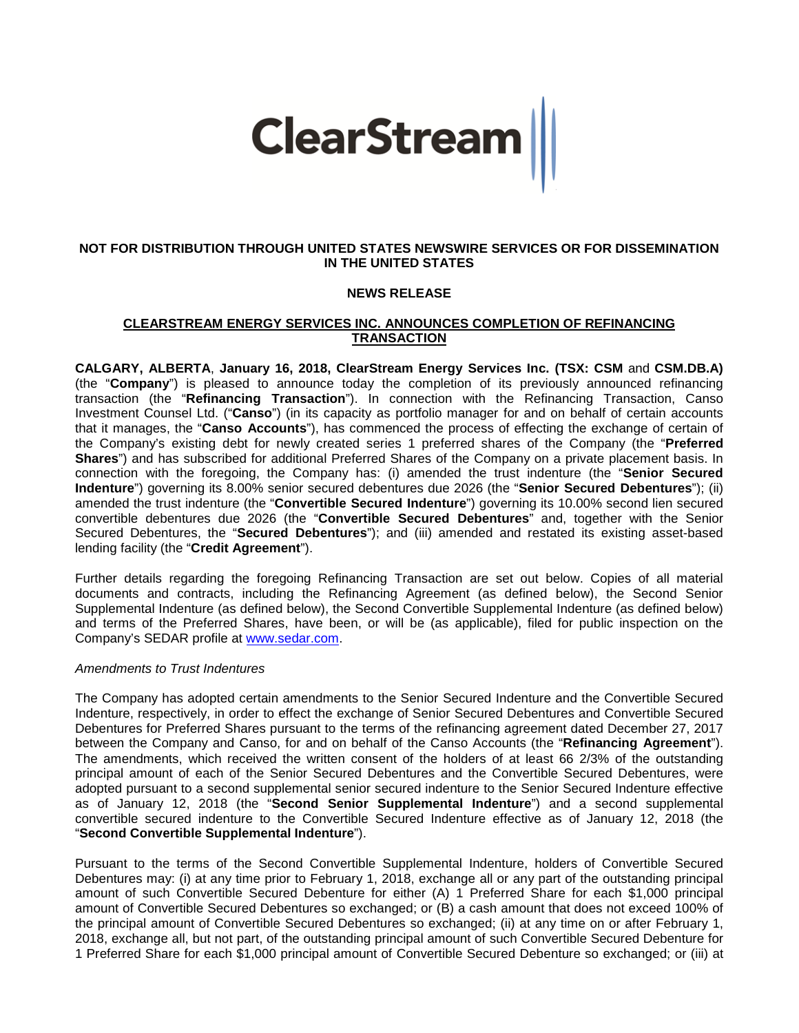

## **NOT FOR DISTRIBUTION THROUGH UNITED STATES NEWSWIRE SERVICES OR FOR DISSEMINATION IN THE UNITED STATES**

# **NEWS RELEASE**

# **CLEARSTREAM ENERGY SERVICES INC. ANNOUNCES COMPLETION OF REFINANCING TRANSACTION**

**CALGARY, ALBERTA**, **January 16, 2018, ClearStream Energy Services Inc. (TSX: CSM** and **CSM.DB.A)**  (the "**Company**") is pleased to announce today the completion of its previously announced refinancing transaction (the "**Refinancing Transaction**"). In connection with the Refinancing Transaction, Canso Investment Counsel Ltd. ("**Canso**") (in its capacity as portfolio manager for and on behalf of certain accounts that it manages, the "**Canso Accounts**"), has commenced the process of effecting the exchange of certain of the Company's existing debt for newly created series 1 preferred shares of the Company (the "**Preferred Shares**") and has subscribed for additional Preferred Shares of the Company on a private placement basis. In connection with the foregoing, the Company has: (i) amended the trust indenture (the "**Senior Secured Indenture**") governing its 8.00% senior secured debentures due 2026 (the "**Senior Secured Debentures**"); (ii) amended the trust indenture (the "**Convertible Secured Indenture**") governing its 10.00% second lien secured convertible debentures due 2026 (the "**Convertible Secured Debentures**" and, together with the Senior Secured Debentures, the "**Secured Debentures**"); and (iii) amended and restated its existing asset-based lending facility (the "**Credit Agreement**").

Further details regarding the foregoing Refinancing Transaction are set out below. Copies of all material documents and contracts, including the Refinancing Agreement (as defined below), the Second Senior Supplemental Indenture (as defined below), the Second Convertible Supplemental Indenture (as defined below) and terms of the Preferred Shares, have been, or will be (as applicable), filed for public inspection on the Company's SEDAR profile at [www.sedar.com.](http://www.sedar.com/)

#### *Amendments to Trust Indentures*

The Company has adopted certain amendments to the Senior Secured Indenture and the Convertible Secured Indenture, respectively, in order to effect the exchange of Senior Secured Debentures and Convertible Secured Debentures for Preferred Shares pursuant to the terms of the refinancing agreement dated December 27, 2017 between the Company and Canso, for and on behalf of the Canso Accounts (the "**Refinancing Agreement**"). The amendments, which received the written consent of the holders of at least 66 2/3% of the outstanding principal amount of each of the Senior Secured Debentures and the Convertible Secured Debentures, were adopted pursuant to a second supplemental senior secured indenture to the Senior Secured Indenture effective as of January 12, 2018 (the "**Second Senior Supplemental Indenture**") and a second supplemental convertible secured indenture to the Convertible Secured Indenture effective as of January 12, 2018 (the "**Second Convertible Supplemental Indenture**").

Pursuant to the terms of the Second Convertible Supplemental Indenture, holders of Convertible Secured Debentures may: (i) at any time prior to February 1, 2018, exchange all or any part of the outstanding principal amount of such Convertible Secured Debenture for either (A) 1 Preferred Share for each \$1,000 principal amount of Convertible Secured Debentures so exchanged; or (B) a cash amount that does not exceed 100% of the principal amount of Convertible Secured Debentures so exchanged; (ii) at any time on or after February 1, 2018, exchange all, but not part, of the outstanding principal amount of such Convertible Secured Debenture for 1 Preferred Share for each \$1,000 principal amount of Convertible Secured Debenture so exchanged; or (iii) at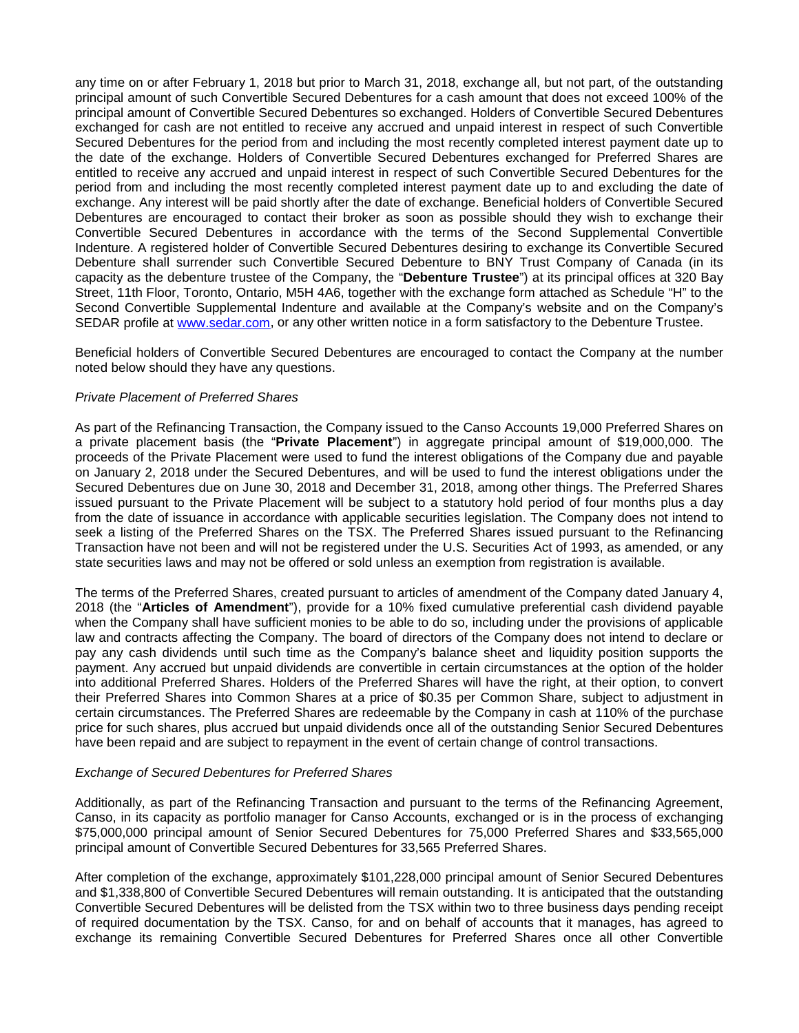any time on or after February 1, 2018 but prior to March 31, 2018, exchange all, but not part, of the outstanding principal amount of such Convertible Secured Debentures for a cash amount that does not exceed 100% of the principal amount of Convertible Secured Debentures so exchanged. Holders of Convertible Secured Debentures exchanged for cash are not entitled to receive any accrued and unpaid interest in respect of such Convertible Secured Debentures for the period from and including the most recently completed interest payment date up to the date of the exchange. Holders of Convertible Secured Debentures exchanged for Preferred Shares are entitled to receive any accrued and unpaid interest in respect of such Convertible Secured Debentures for the period from and including the most recently completed interest payment date up to and excluding the date of exchange. Any interest will be paid shortly after the date of exchange. Beneficial holders of Convertible Secured Debentures are encouraged to contact their broker as soon as possible should they wish to exchange their Convertible Secured Debentures in accordance with the terms of the Second Supplemental Convertible Indenture. A registered holder of Convertible Secured Debentures desiring to exchange its Convertible Secured Debenture shall surrender such Convertible Secured Debenture to BNY Trust Company of Canada (in its capacity as the debenture trustee of the Company, the "**Debenture Trustee**") at its principal offices at 320 Bay Street, 11th Floor, Toronto, Ontario, M5H 4A6, together with the exchange form attached as Schedule "H" to the Second Convertible Supplemental Indenture and available at the Company's website and on the Company's SEDAR profile at [www.sedar.com,](http://www.sedar.com/) or any other written notice in a form satisfactory to the Debenture Trustee.

Beneficial holders of Convertible Secured Debentures are encouraged to contact the Company at the number noted below should they have any questions.

## *Private Placement of Preferred Shares*

As part of the Refinancing Transaction, the Company issued to the Canso Accounts 19,000 Preferred Shares on a private placement basis (the "**Private Placement**") in aggregate principal amount of \$19,000,000. The proceeds of the Private Placement were used to fund the interest obligations of the Company due and payable on January 2, 2018 under the Secured Debentures, and will be used to fund the interest obligations under the Secured Debentures due on June 30, 2018 and December 31, 2018, among other things. The Preferred Shares issued pursuant to the Private Placement will be subject to a statutory hold period of four months plus a day from the date of issuance in accordance with applicable securities legislation. The Company does not intend to seek a listing of the Preferred Shares on the TSX. The Preferred Shares issued pursuant to the Refinancing Transaction have not been and will not be registered under the U.S. Securities Act of 1993, as amended, or any state securities laws and may not be offered or sold unless an exemption from registration is available.

The terms of the Preferred Shares, created pursuant to articles of amendment of the Company dated January 4, 2018 (the "**Articles of Amendment**"), provide for a 10% fixed cumulative preferential cash dividend payable when the Company shall have sufficient monies to be able to do so, including under the provisions of applicable law and contracts affecting the Company. The board of directors of the Company does not intend to declare or pay any cash dividends until such time as the Company's balance sheet and liquidity position supports the payment. Any accrued but unpaid dividends are convertible in certain circumstances at the option of the holder into additional Preferred Shares. Holders of the Preferred Shares will have the right, at their option, to convert their Preferred Shares into Common Shares at a price of \$0.35 per Common Share, subject to adjustment in certain circumstances. The Preferred Shares are redeemable by the Company in cash at 110% of the purchase price for such shares, plus accrued but unpaid dividends once all of the outstanding Senior Secured Debentures have been repaid and are subject to repayment in the event of certain change of control transactions.

#### *Exchange of Secured Debentures for Preferred Shares*

Additionally, as part of the Refinancing Transaction and pursuant to the terms of the Refinancing Agreement, Canso, in its capacity as portfolio manager for Canso Accounts, exchanged or is in the process of exchanging \$75,000,000 principal amount of Senior Secured Debentures for 75,000 Preferred Shares and \$33,565,000 principal amount of Convertible Secured Debentures for 33,565 Preferred Shares.

After completion of the exchange, approximately \$101,228,000 principal amount of Senior Secured Debentures and \$1,338,800 of Convertible Secured Debentures will remain outstanding. It is anticipated that the outstanding Convertible Secured Debentures will be delisted from the TSX within two to three business days pending receipt of required documentation by the TSX. Canso, for and on behalf of accounts that it manages, has agreed to exchange its remaining Convertible Secured Debentures for Preferred Shares once all other Convertible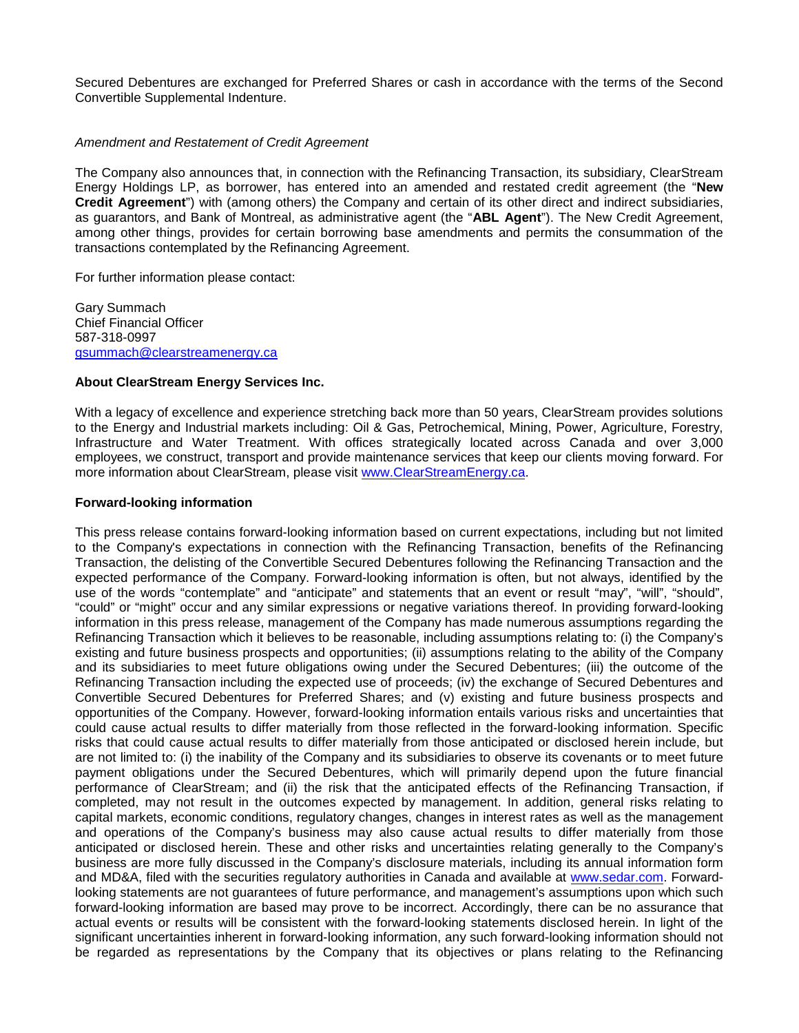Secured Debentures are exchanged for Preferred Shares or cash in accordance with the terms of the Second Convertible Supplemental Indenture.

## *Amendment and Restatement of Credit Agreement*

The Company also announces that, in connection with the Refinancing Transaction, its subsidiary, ClearStream Energy Holdings LP, as borrower, has entered into an amended and restated credit agreement (the "**New Credit Agreement**") with (among others) the Company and certain of its other direct and indirect subsidiaries, as guarantors, and Bank of Montreal, as administrative agent (the "**ABL Agent**"). The New Credit Agreement, among other things, provides for certain borrowing base amendments and permits the consummation of the transactions contemplated by the Refinancing Agreement.

For further information please contact:

Gary Summach Chief Financial Officer 587-318-0997 [gsummach@clearstreamenergy.ca](mailto:gsummach@clearstreamenergy.ca)

#### **About ClearStream Energy Services Inc.**

With a legacy of excellence and experience stretching back more than 50 years, ClearStream provides solutions to the Energy and Industrial markets including: Oil & Gas, Petrochemical, Mining, Power, Agriculture, Forestry, Infrastructure and Water Treatment. With offices strategically located across Canada and over 3,000 employees, we construct, transport and provide maintenance services that keep our clients moving forward. For more information about ClearStream, please visit [www.ClearStreamEnergy.ca.](http://www.clearstreamenergy.ca/)

#### **Forward-looking information**

This press release contains forward-looking information based on current expectations, including but not limited to the Company's expectations in connection with the Refinancing Transaction, benefits of the Refinancing Transaction, the delisting of the Convertible Secured Debentures following the Refinancing Transaction and the expected performance of the Company. Forward-looking information is often, but not always, identified by the use of the words "contemplate" and "anticipate" and statements that an event or result "may", "will", "should", "could" or "might" occur and any similar expressions or negative variations thereof. In providing forward-looking information in this press release, management of the Company has made numerous assumptions regarding the Refinancing Transaction which it believes to be reasonable, including assumptions relating to: (i) the Company's existing and future business prospects and opportunities; (ii) assumptions relating to the ability of the Company and its subsidiaries to meet future obligations owing under the Secured Debentures; (iii) the outcome of the Refinancing Transaction including the expected use of proceeds; (iv) the exchange of Secured Debentures and Convertible Secured Debentures for Preferred Shares; and (v) existing and future business prospects and opportunities of the Company. However, forward-looking information entails various risks and uncertainties that could cause actual results to differ materially from those reflected in the forward-looking information. Specific risks that could cause actual results to differ materially from those anticipated or disclosed herein include, but are not limited to: (i) the inability of the Company and its subsidiaries to observe its covenants or to meet future payment obligations under the Secured Debentures, which will primarily depend upon the future financial performance of ClearStream; and (ii) the risk that the anticipated effects of the Refinancing Transaction, if completed, may not result in the outcomes expected by management. In addition, general risks relating to capital markets, economic conditions, regulatory changes, changes in interest rates as well as the management and operations of the Company's business may also cause actual results to differ materially from those anticipated or disclosed herein. These and other risks and uncertainties relating generally to the Company's business are more fully discussed in the Company's disclosure materials, including its annual information form and MD&A, filed with the securities regulatory authorities in Canada and available at [www.sedar.com.](http://www.sedar.com/) Forwardlooking statements are not guarantees of future performance, and management's assumptions upon which such forward-looking information are based may prove to be incorrect. Accordingly, there can be no assurance that actual events or results will be consistent with the forward-looking statements disclosed herein. In light of the significant uncertainties inherent in forward-looking information, any such forward-looking information should not be regarded as representations by the Company that its objectives or plans relating to the Refinancing